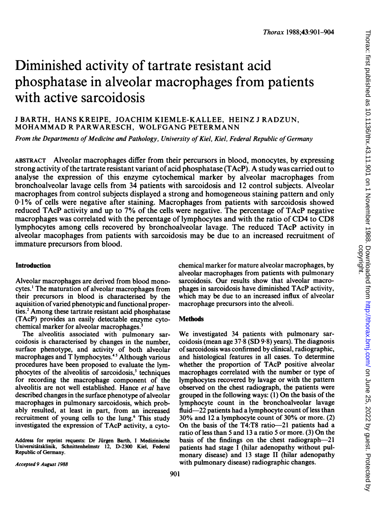# Diminished activity of tartrate resistant acid phosphatase in alveolar macrophages from patients with active sarcoidosis

## <sup>J</sup> BARTH, HANS KREIPE, JOACHIM KIEMLE-KALLEE, HEINZ <sup>J</sup> RADZUN, MOHAMMAD R PARWARESCH, WOLFGANG PETERMANN

From the Departments of Medicine and Pathology, University of Kiel, Kiel, Federal Republic of Germany

ABSTRACT Alveolar macrophages differ from their percursors in blood, monocytes, by expressing strong activity of the tartrate resistant variant of acid phosphatase (TAcP). A study was carried out to analyse the expression of this enzyme cytochemical marker by alveolar macrophages from bronchoalveolar lavage cells from 34 patients with sarcoidosis and 12 control subjects. Alveolar macrophages from control subjects displayed a strong and homogeneous staining pattern and only 0-1% of cells were negative after staining. Macrophages from patients with sarcoidosis showed reduced TAcP activity and up to 7% of the cells were negative. The percentage of TAcP negative macrophages was correlated with the percentage of lymphocytes and with the ratio of CD4 to CD8 lymphocytes among cells recovered by bronchoalveolar lavage. The reduced TAcP activity in alveolar macophages from patients with sarcoidosis may be due to an increased recruitment of immature precursors from blood.

#### Introduction

Alveolar macrophages are derived from blood monocytes.' The maturation of alveolar macrophages from their precursors in blood is characterised by the aquisition ofvaried phenotypic and functional properties.<sup>2</sup> Among these tartrate resistant acid phosphatase (TAcP) provides an easily detectable enzyme cytochemical marker for alveolar macrophages.<sup>3</sup>

The alveolitis associated with pulmonary sarcoidosis is characterised by changes in the number, surface phenotype, and activity of both alveolar macrophages and T lymphocytes.<sup>45</sup> Although various procedures have been proposed to evaluate the lymphocytes of the alveolitis of sarcoidosis,<sup>5</sup> techniques for recording the macrophage component of the alveolitis are not well established. Hance et al have described changes in the surface phenotype of alveolar macrophages in pulmonary sarcoidosis, which probably resulted, at least in part, from an increased recruitment of young cells to the lung.<sup>6</sup> This study investigated the expression of TAcP activity, a cyto-

Address for reprint requests: Dr Jürgen Barth, I Medizinische Universitätsklinik, Schnittenhelmstr 12, D-2300 Kiel, Federal Republic of Gernany.

chemical marker for mature alveolar macrophages, by alveolar macrophages from patients with pulmonary sarcoidosis. Our results show that alveolar macrophages in sarcoidosis have diminished TAcP activity, which may be due to an increased influx of alveolar macrophage precursors into the alveoli.

## **Methods**

We investigated <sup>34</sup> patients with pulmonary sarcoidosis (mean age  $37.8$  (SD  $9.8$ ) years). The diagnosis of sarcoidosis was confirmed by clinical, radiographic, and histological features in all cases. To determine whether the proportion of TAcP positive alveolar macrophages correlated with the number or type of lymphocytes recovered by lavage or with the pattern observed on the chest radiograph, the patients were grouped in the following ways:  $(1)$  On the basis of the lymphocyte count in the bronchoalveolar lavage fluid-22 patients had a lymphocyte count of less than 30% and <sup>12</sup> a lymphocyte count of 30% or more. (2) On the basis of the T4:T8 ratio-21 patients had a ratio of less than <sup>5</sup> and <sup>13</sup> a ratio <sup>5</sup> or more. (3) On the basis of the findings on the chest radiograph-21 patients had stage <sup>I</sup> (hilar adenopathy without pulmonary disease) and 13 stage II (hilar adenopathy with pulmonary disease) radiographic changes.

Accepted 9 August 1988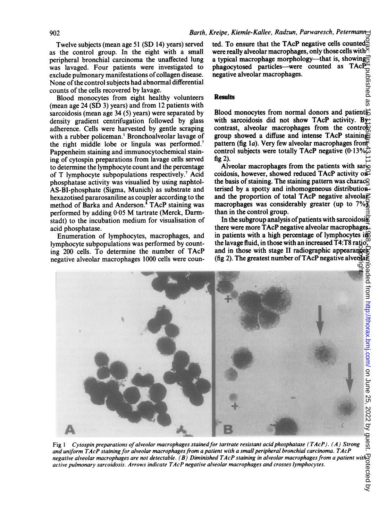Twelve subjects (mean age 51 (SD 14) years) served as the control group. In the eight with a small peripheral bronchial carcinoma the unaffected lung was lavaged. Four patients were investigated to exclude pulmonary manifestations of collagen disease. None of the control subjects had abnormal differential counts of the cells recovered by lavage.

Blood monocytes from eight healthy volunteers (mean age 24 (SD 3) years) and from 12 patients with sarcoidosis (mean age 34 (5) years) were separated by density gradient centrifugation followed by glass adherence. Cells were harvested by gentle scraping with a rubber policeman.' Bronchoalveolar lavage of the right middle lobe or lingula was performed.<sup>7</sup> Pappenheim staining and immunocytochemical staining of cytospin preparations from lavage cells served to determine the lymphocyte count and the percentage of T lymphocyte subpopulations respectively.' Acid phosphatase activity was visualied by using naphtol-AS-BI-phosphate (Sigma, Munich) as substrate and hexazotised pararosaniline as coupler according to the method of Barka and Anderson.<sup>8</sup> TAcP staining was performed by adding 0-05 M tartrate (Merck, Darmstadt) to the incubation medium for visualisation of acid phosphatase.

Enumeration of lymphocytes, macrophages, and lymphocyte subpopulations was performed by counting 200 cells. To determine the number of TAcP negative alveolar macrophages 1000 cells were coun-

ted. To ensure that the TAcP negative cells counted $\frac{3}{62}$ were really alveolar macrophages, only those cells with  $\frac{1}{2}$ a typical macrophage morphology—that is, showing phagocytosed particles—were counted as  $TACP^2$ <br>negative alveolar macrophages.<br>Results<br>Results<br> $\begin{array}{r} \n\text{Results} \\
\text{or} \\
\text{if} \\
\text{if} \\
\text{if} \\
\text{if} \\
\text{if} \\
\text{if} \\
\text{if} \\
\text{if} \\
\text{if} \\
\text{if} \\
\text{if} \\
\text{if} \\
\text{if} \\
\text{if} \\
\text{if} \\
\text{if} \\
\text{if} \\
\text{$ negative alveolar macrophages.

#### **Results**

Blood monocytes from normal donors and patients with sarcoidosis did not show TAcP activity. Bycontrast, alveolar macrophages from the controlgroup showed a diffuse and intense TAcP staining pattern (fig 1a). Very few alveolar macrophages from  $\overline{Y}$ control subjects were totally TAcP negative  $(0.13\%$ fig 2).

Alveolar macrophages from the patients with sar $\infty$ coidosis, however, showed reduced TAcP activity on the basis of staining. The staining pattern was charac $\subseteq$ terised by a spotty and inhomogeneous distribution and the proportion of total TAcP negative alveola $\vec{P}$ macrophages was considerably greater (up to  $7\%$ ) than in the control group.

In the subgroup analysis of patients with sarcoidosi $\mathcal{F}$ there were more TAcP negative alveolar macrophages. in patients with a high percentage of lymphocytes in the lavage fluid, in those with an increased T4:T8 ratio, and in those with stage II radiographic appearances (fig 2). The greatest number of TAcP negative alveola $\bar{\epsilon}$ 



Fig 1 Cytospin preparations of alveolar macrophages stained for tartrate resistant acid phosphatase (TAcP). (A) Strong and uniform TAcP staining for alveolar macrophages from a patient with a small peripheral bronchial carcinoma. TAcP negative alveolar macrophages are not detectable. (B) Diminished TAcP staining in alveolar macrophages from a patient active pulmonary sarcoidosis. Arrows indicate TAcP negative alveolar macrophages and crosses lymphocytes.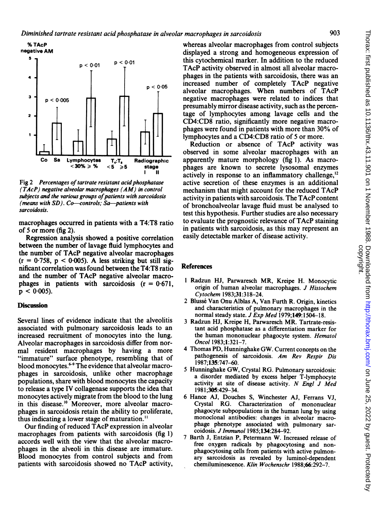



Fig 2 Percentages of tartrate resistant acid phosphatase (TAcP) negative alveolar macrophages (AM) in control subjects and the various groups of patients with sarcoidosis (means with  $SD$ ). Co-controls; Sa-patients with sarcoidosis.

macrophages occurred in patients with a T4:T8 ratio of 5 or more (fig 2).

Regression analysis showed a positive correlation between the number of lavage fluid lymphocytes and the number of TAcP negative alveolar macrophages  $(r = 0.758, p < 0.005)$ . A less striking but still significant correlation was found between the T4:T8 ratio and the number of TAcP negative alveolar macrophages in patients with sarcoidosis  $(r = 0.671)$ ,  $p < 0.005$ ).

# **Discussion**

Several lines of evidence indicate that the alveolitis associated with pulmonary sarcoidosis leads to an increased recruitment of monocytes into the lung. Alveolar macrophages in sarcoidosis differ from normal resident macrophages by having a more "immature" surface phenotype, resembling that of blood monocytes.<sup>6-9</sup> The evidence that alveolar macrophages in sarcoidosis, unlike other macrophage populations, share with blood monocytes the capacity to release a type IV collagenase supports the idea that monocytes actively migrate from the blood to the lung in this disease.<sup>10</sup> Moreover, more alveolar macrophages in sarcoidosis retain the ability to proliferate, thus indicating a lower stage of maturation."

Our finding of reduced TAcP expression in alveolar macrophages from patients with sarcoidosis (fig 1) accords well with the view that the alveolar macrophages in the alveoli in this disease are immature. Blood monocytes from control subjects and from patients with sarcoidosis showed no TAcP activity, whereas alveolar macrophages from control subjects displayed a strong and homogeneous expression of this cytochemical marker. In addition to the reduced TAcP activity observed in almost all alveolar macrophages in the patients with sarcoidosis, there was an increased number of completely TAcP negative alveolar macrophages. When numbers of TAcP negative macrophages were related to indices that presumably mirror disease activity, such as the percentage of lymphocytes among lavage cells and the CD4:CD8 ratio, significantly more negative macrophages were found in patients with more than 30% of lymphocytes and a CD4:CD8 ratio of <sup>5</sup> or more.

Reduction or absence of TAcP activity was observed in some alveolar macrophages with an apparently mature morphology (fig 1). As macrophages are known to secrete lysosomal enzymes actively in response to an inflammatory challenge,<sup>12</sup> active secretion of these enzymes is an additional mechanism that might account for the reduced TAcP activity in patients with sarcoidosis. The TAcP content of bronchoalveolar lavage fluid must be analysed to test this hypothesis. Further studies are also necessary to evaluate the prognostic relevance of TAcP staining in patients with sarcoidosis, as this may represent an easily detectable marker of disease activity.

# References

- <sup>1</sup> Radzun HJ, Parwaresch MR, Kreipe H. Monocytic origin of human alveolar macrophages. J Histochem Cytochem 1983;31:318-24.
- 2 Blusse Van Onu Alblas A, Van Furth R. Origin, kinetics and characteristics of pulmonary macrophages in the normal steady state. *J Exp Med* 1979;149:1504-18.
- <sup>3</sup> Radzun HJ, Kreipe H, Parwaresch MR. Tartrate-resistant acid phosphatase as a differentiation marker for the human mononuclear phagocyte system. Hematol Oncol 1983;1:321-7.
- 4 Thomas PD, Hunninghake GW. Current concepts on the pathogenesis of sarcoidosis. Am Rev Respir Dis 1987;135:747-60.
- <sup>5</sup> Hunninghake GW, Crystal RG. Pulmonary sarcoidosis: a disorder mediated by excess helper T-lymphocyte activity at site of disease activity. N Engl J Med 1981;305:429-34.
- 6 Hance AJ, Douches S, Winchester AJ, Ferrans VJ, Crystal RG. Characterization of mononuclear phagocyte subpopulations in the human lung by using monoclonal antibodies: changes in alveolar macrophage phenotype associated with pulmonary sarcoidosis. J Immunol 1985;134:284-92.
- 7 Barth J, Entzian P, Petermann W. Increased release of free oxygen radicals by phagocytosing and nonphagocytosing cells from patients with active pulmonary sarcoidosis as revealed by luminol-dependent chemiluminescence. Klin Wochenschr 1988:66:292-7.